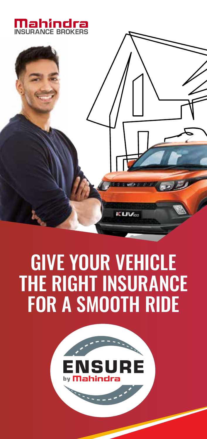



# GIVE YOUR VEHICLE THE RIGHT INSURANCE FOR A SMOOTH RIDE

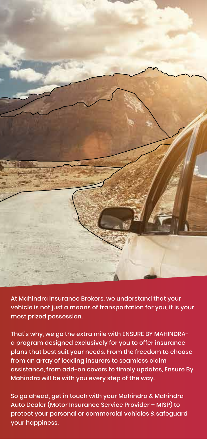

At Mahindra Insurance Brokers, we understand that your vehicle is not just a means of transportation for you, it is your most prized possession.

That's why, we go the extra mile with ENSURE BY MAHINDRAa program designed exclusively for you to offer insurance plans that best suit your needs. From the freedom to choose from an array of leading insurers to seamless claim assistance, from add-on covers to timely updates, Ensure By Mahindra will be with you every step of the way.

So go ahead, get in touch with your Mahindra & Mahindra Auto Dealer (Motor Insurance Service Provider – MISP) to protect your personal or commercial vehicles & safeguard your happiness.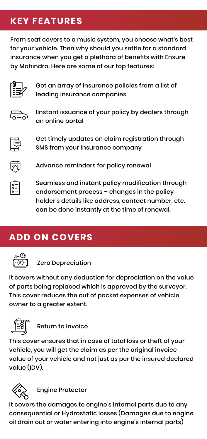## **KEY FEATURES**

From seat covers to a music system, you choose what's best for your vehicle. Then why should you settle for a standard insurance when you get a plethora of benefits with Ensure by Mahindra. Here are some of our top features:



Get an array of insurance policies from a list of leading insurance companies



IInstant issuance of your policy by dealers through an online portal



Get timely updates on claim registration through SMS from your insurance company



Advance reminders for policy renewal



Seamless and instant policy modification through endorsement process – changes in the policy holder's details like address, contact number, etc. can be done instantly at the time of renewal.

# **ADD ON COVERS**



Zero Depreciation

It covers without any deduction for depreciation on the value of parts being replaced which is approved by the surveyor. This cover reduces the out of pocket expenses of vehicle owner to a greater extent.



Return to Invoice

This cover ensures that in case of total loss or theft of your vehicle, you will get the claim as per the original invoice value of your vehicle and not just as per the insured declared value (IDV).



Engine Protector

It covers the damages to engine's internal parts due to any consequential or Hydrostatic losses (Damages due to engine oil drain out or water entering into engine's internal parts)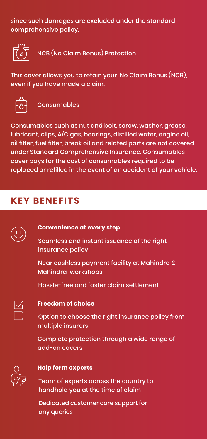since such damages are excluded under the standard comprehensive policy.



NCB (No Claim Bonus) Protection

This cover allows you to retain your No Claim Bonus (NCB), even if you have made a claim.



Consumables

Consumables such as nut and bolt, screw, washer, grease, lubricant, clips, A/C gas, bearings, distilled water, engine oil, oil filter, fuel filter, break oil and related parts are not covered under Standard Comprehensive Insurance. Consumables cover pays for the cost of consumables required to be replaced or refilled in the event of an accident of your vehicle.

## **KEY BENEFITS**



#### **Convenience at every step**

Seamless and instant issuance of the right insurance policy

Near cashless payment facility at Mahindra & Mahindra workshops

Hassle-free and faster claim settlement



#### **Freedom of choice**

Option to choose the right insurance policy from multiple insurers

Complete protection through a wide range of add-on covers



#### **Help form experts**

Team of experts across the country to handhold you at the time of claim

Dedicated customer care support for any queries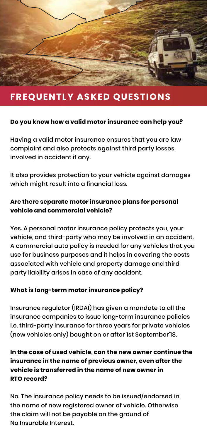

## **FREQUENTLY ASKED QUESTIONS**

#### **Do you know how a valid motor insurance can help you?**

Having a valid motor insurance ensures that you are law complaint and also protects against third party losses involved in accident if any.

It also provides protection to your vehicle against damages which might result into a financial loss.

#### **Are there separate motor insurance plans for personal vehicle and commercial vehicle?**

Yes. A personal motor insurance policy protects you, your vehicle, and third-party who may be involved in an accident. A commercial auto policy is needed for any vehicles that you use for business purposes and it helps in covering the costs associated with vehicle and property damage and third party liability arises in case of any accident.

#### **What is long-term motor insurance policy?**

Insurance regulator (IRDAI) has given a mandate to all the insurance companies to issue long-term insurance policies i.e. third-party insurance for three years for private vehicles (new vehicles only) bought on or after 1st September'18.

#### **In the case of used vehicle, can the new owner continue the insurance in the name of previous owner, even after the vehicle is transferred in the name of new owner in RTO record?**

No. The insurance policy needs to be issued/endorsed in the name of new registered owner of vehicle. Otherwise the claim will not be payable on the ground of No Insurable Interest.